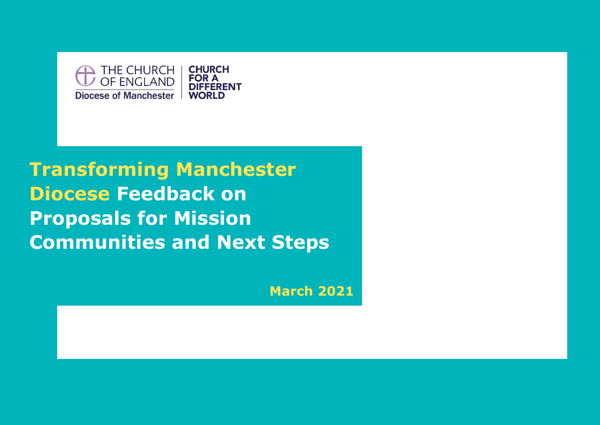

# **Transforming Manchester Diocese Feedback on Proposals for Mission Communities and Next Steps**

**March 2021**

**March 2021**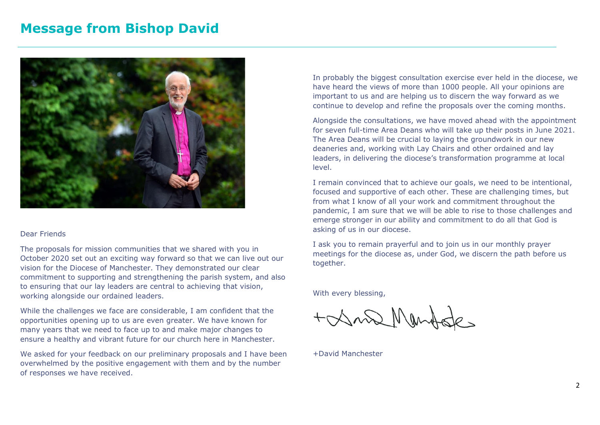### **Message from Bishop David**



#### Dear Friends

The proposals for mission communities that we shared with you in October 2020 set out an exciting way forward so that we can live out our vision for the Diocese of Manchester. They demonstrated our clear commitment to supporting and strengthening the parish system, and also to ensuring that our lay leaders are central to achieving that vision, working alongside our ordained leaders.

While the challenges we face are considerable, I am confident that the opportunities opening up to us are even greater. We have known for many years that we need to face up to and make major changes to ensure a healthy and vibrant future for our church here in Manchester.

We asked for your feedback on our preliminary proposals and I have been overwhelmed by the positive engagement with them and by the number of responses we have received.

In probably the biggest consultation exercise ever held in the diocese, we have heard the views of more than 1000 people. All your opinions are important to us and are helping us to discern the way forward as we continue to develop and refine the proposals over the coming months.

Alongside the consultations, we have moved ahead with the appointment for seven full-time Area Deans who will take up their posts in June 2021. The Area Deans will be crucial to laying the groundwork in our new deaneries and, working with Lay Chairs and other ordained and lay leaders, in delivering the diocese's transformation programme at local level.

I remain convinced that to achieve our goals, we need to be intentional, focused and supportive of each other. These are challenging times, but from what I know of all your work and commitment throughout the pandemic, I am sure that we will be able to rise to those challenges and emerge stronger in our ability and commitment to do all that God is asking of us in our diocese.

I ask you to remain prayerful and to join us in our monthly prayer meetings for the diocese as, under God, we discern the path before us together.

With every blessing,

+ Xn2 Mendede

+David Manchester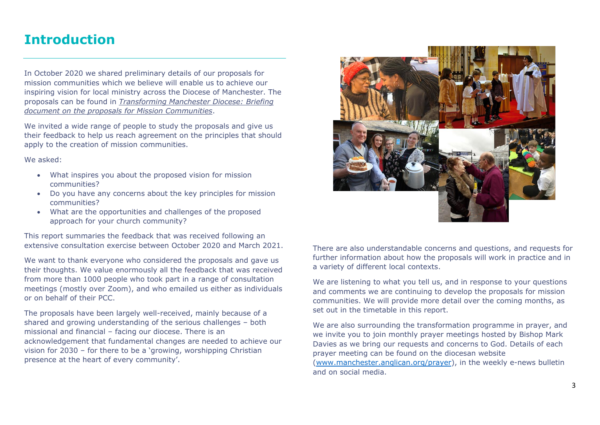### **Introduction**

In October 2020 we shared preliminary details of our proposals for mission communities which we believe will enable us to achieve our inspiring vision for local ministry across the Diocese of Manchester. The proposals can be found in *[Transforming Manchester Diocese: Briefing](https://d3hgrlq6yacptf.cloudfront.net/5fbd76bf103bd/content/pages/documents/1601907221884358987.pdf)  [document on the proposals for Mission Communities](https://d3hgrlq6yacptf.cloudfront.net/5fbd76bf103bd/content/pages/documents/1601907221884358987.pdf)*.

We invited a wide range of people to study the proposals and give us their feedback to help us reach agreement on the principles that should apply to the creation of mission communities.

We asked:

- What inspires you about the proposed vision for mission communities?
- Do you have any concerns about the key principles for mission communities?
- What are the opportunities and challenges of the proposed approach for your church community?

This report summaries the feedback that was received following an extensive consultation exercise between October 2020 and March 2021.

We want to thank everyone who considered the proposals and gave us their thoughts. We value enormously all the feedback that was received from more than 1000 people who took part in a range of consultation meetings (mostly over Zoom), and who emailed us either as individuals or on behalf of their PCC.

The proposals have been largely well-received, mainly because of a shared and growing understanding of the serious challenges – both missional and financial – facing our diocese. There is an acknowledgement that fundamental changes are needed to achieve our vision for 2030 – for there to be a 'growing, worshipping Christian presence at the heart of every community'.



There are also understandable concerns and questions, and requests for further information about how the proposals will work in practice and in a variety of different local contexts.

We are listening to what you tell us, and in response to your questions and comments we are continuing to develop the proposals for mission communities. We will provide more detail over the coming months, as set out in the timetable in this report.

We are also surrounding the transformation programme in prayer, and we invite you to join monthly prayer meetings hosted by Bishop Mark Davies as we bring our requests and concerns to God. Details of each prayer meeting can be found on the diocesan website [\(www.manchester.anglican.org/prayer\)](http://www.manchester.anglican.org/prayer), in the weekly e-news bulletin and on social media.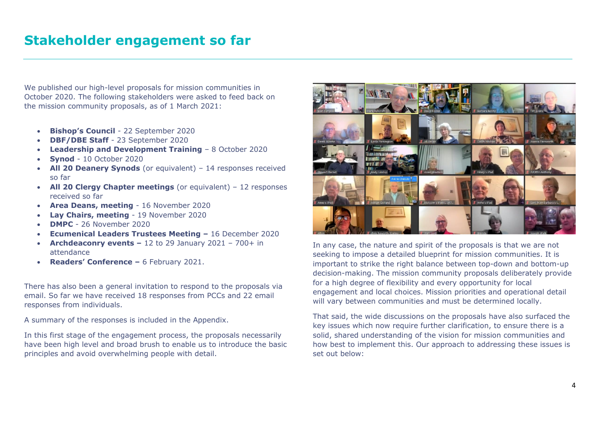We published our high-level proposals for mission communities in October 2020. The following stakeholders were asked to feed back on the mission community proposals, as of 1 March 2021:

- **Bishop's Council** 22 September 2020
- **DBF/DBE Staff** 23 September 2020
- **Leadership and Development Training**  8 October 2020
- **Synod** 10 October 2020
- **All 20 Deanery Synods** (or equivalent) 14 responses received so far
- **All 20 Clergy Chapter meetings** (or equivalent) 12 responses received so far
- **Area Deans, meeting** 16 November 2020
- **Lay Chairs, meeting** 19 November 2020
- **DMPC**  26 November 2020
- **Ecumenical Leaders Trustees Meeting –** 16 December 2020
- **Archdeaconry events –** 12 to 29 January 2021 700+ in attendance
- **Readers' Conference –** 6 February 2021.

There has also been a general invitation to respond to the proposals via email. So far we have received 18 responses from PCCs and 22 email responses from individuals.

A summary of the responses is included in the Appendix.

In this first stage of the engagement process, the proposals necessarily have been high level and broad brush to enable us to introduce the basic principles and avoid overwhelming people with detail.



In any case, the nature and spirit of the proposals is that we are not seeking to impose a detailed blueprint for mission communities. It is important to strike the right balance between top-down and bottom-up decision-making. The mission community proposals deliberately provide for a high degree of flexibility and every opportunity for local engagement and local choices. Mission priorities and operational detail will vary between communities and must be determined locally.

That said, the wide discussions on the proposals have also surfaced the key issues which now require further clarification, to ensure there is a solid, shared understanding of the vision for mission communities and how best to implement this. Our approach to addressing these issues is set out below: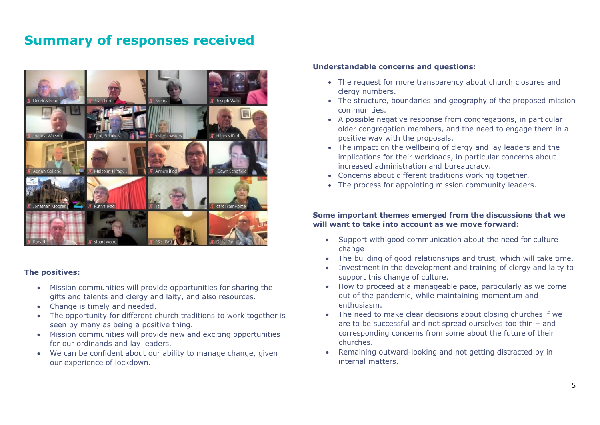### **Summary of responses received**



#### **The positives:**

- Mission communities will provide opportunities for sharing the gifts and talents and clergy and laity, and also resources.
- Change is timely and needed.
- The opportunity for different church traditions to work together is seen by many as being a positive thing.
- Mission communities will provide new and exciting opportunities for our ordinands and lay leaders.
- We can be confident about our ability to manage change, given our experience of lockdown.

### **Understandable concerns and questions:**

- The request for more transparency about church closures and clergy numbers.
- The structure, boundaries and geography of the proposed mission communities.
- A possible negative response from congregations, in particular older congregation members, and the need to engage them in a positive way with the proposals.
- The impact on the wellbeing of clergy and lay leaders and the implications for their workloads, in particular concerns about increased administration and bureaucracy.
- Concerns about different traditions working together.
- The process for appointing mission community leaders.

### **Some important themes emerged from the discussions that we will want to take into account as we move forward:**

- Support with good communication about the need for culture change
- The building of good relationships and trust, which will take time.
- Investment in the development and training of clergy and laity to support this change of culture.
- How to proceed at a manageable pace, particularly as we come out of the pandemic, while maintaining momentum and enthusiasm.
- The need to make clear decisions about closing churches if we are to be successful and not spread ourselves too thin – and corresponding concerns from some about the future of their churches.
- Remaining outward-looking and not getting distracted by in internal matters.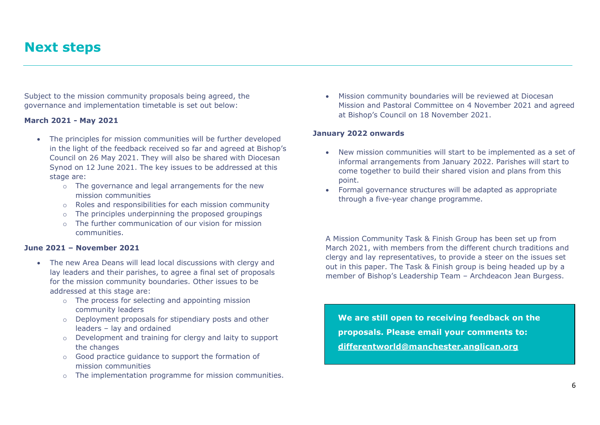### **Next steps**

Subject to the mission community proposals being agreed, the governance and implementation timetable is set out below:

#### **March 2021 - May 2021**

- The principles for mission communities will be further developed in the light of the feedback received so far and agreed at Bishop's Council on 26 May 2021. They will also be shared with Diocesan Synod on 12 June 2021. The key issues to be addressed at this stage are:
	- o The governance and legal arrangements for the new mission communities
	- o Roles and responsibilities for each mission community
	- o The principles underpinning the proposed groupings
	- o The further communication of our vision for mission communities.

#### **June 2021 – November 2021**

- The new Area Deans will lead local discussions with clergy and lay leaders and their parishes, to agree a final set of proposals for the mission community boundaries. Other issues to be addressed at this stage are:
	- o The process for selecting and appointing mission community leaders
	- o Deployment proposals for stipendiary posts and other leaders – lay and ordained
	- o Development and training for clergy and laity to support the changes
	- o Good practice guidance to support the formation of mission communities
	- o The implementation programme for mission communities.

• Mission community boundaries will be reviewed at Diocesan Mission and Pastoral Committee on 4 November 2021 and agreed at Bishop's Council on 18 November 2021.

#### **January 2022 onwards**

- New mission communities will start to be implemented as a set of informal arrangements from January 2022. Parishes will start to come together to build their shared vision and plans from this point.
- Formal governance structures will be adapted as appropriate through a five-year change programme.

A Mission Community Task & Finish Group has been set up from March 2021, with members from the different church traditions and clergy and lay representatives, to provide a steer on the issues set out in this paper. The Task & Finish group is being headed up by a member of Bishop's Leadership Team – Archdeacon Jean Burgess.

**We are still open to receiving feedback on the proposals. Please email your comments to: [differentworld@manchester.anglican.org](mailto:differentworld@manchester.anglican.org)**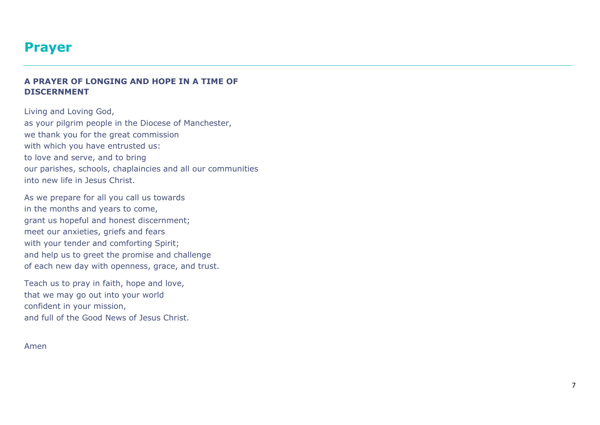### **Prayer**

### **A PRAYER OF LONGING AND HOPE IN A TIME OF DISCERNMENT**

Living and Loving God, as your pilgrim people in the Diocese of Manchester, we thank you for the great commission with which you have entrusted us: to love and serve, and to bring our parishes, schools, chaplaincies and all our communities into new life in Jesus Christ.

As we prepare for all you call us towards in the months and years to come, grant us hopeful and honest discernment; meet our anxieties, griefs and fears with your tender and comforting Spirit; and help us to greet the promise and challenge of each new day with openness, grace, and trust.

Teach us to pray in faith, hope and love, that we may go out into your world confident in your mission, and full of the Good News of Jesus Christ.

Amen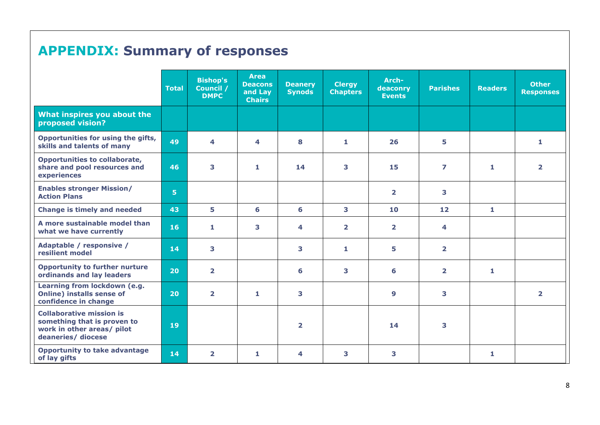## **APPENDIX: Summary of responses**

|                                                                                                                    | <b>Total</b>   | <b>Bishop's</b><br>Council /<br><b>DMPC</b> | <b>Area</b><br><b>Deacons</b><br>and Lay<br><b>Chairs</b> | <b>Deanery</b><br><b>Synods</b> | <b>Clergy</b><br><b>Chapters</b> | Arch-<br>deaconry<br><b>Events</b> | <b>Parishes</b>         | <b>Readers</b> | <b>Other</b><br><b>Responses</b> |
|--------------------------------------------------------------------------------------------------------------------|----------------|---------------------------------------------|-----------------------------------------------------------|---------------------------------|----------------------------------|------------------------------------|-------------------------|----------------|----------------------------------|
| What inspires you about the<br>proposed vision?                                                                    |                |                                             |                                                           |                                 |                                  |                                    |                         |                |                                  |
| Opportunities for using the gifts,<br>skills and talents of many                                                   | 49             | 4                                           | 4                                                         | 8                               | $\mathbf{1}$                     | 26                                 | 5                       |                | 1                                |
| <b>Opportunities to collaborate,</b><br>share and pool resources and<br>experiences                                | 46             | 3                                           | 1                                                         | 14                              | 3                                | 15                                 | $\overline{z}$          | 1              | $\overline{2}$                   |
| <b>Enables stronger Mission/</b><br><b>Action Plans</b>                                                            | 5 <sup>1</sup> |                                             |                                                           |                                 |                                  | $\overline{2}$                     | 3                       |                |                                  |
| <b>Change is timely and needed</b>                                                                                 | 43             | 5                                           | 6                                                         | 6                               | 3                                | 10                                 | 12                      | $\mathbf{1}$   |                                  |
| A more sustainable model than<br>what we have currently                                                            | 16             | 1                                           | 3                                                         | 4                               | $\overline{2}$                   | $\overline{2}$                     | 4                       |                |                                  |
| Adaptable / responsive /<br>resilient model                                                                        | 14             | 3                                           |                                                           | 3                               | $\mathbf{1}$                     | 5                                  | $\overline{\mathbf{2}}$ |                |                                  |
| <b>Opportunity to further nurture</b><br>ordinands and lay leaders                                                 | 20             | $\overline{\mathbf{2}}$                     |                                                           | 6                               | 3                                | 6                                  | $\overline{2}$          | 1              |                                  |
| Learning from lockdown (e.g.<br>Online) installs sense of<br>confidence in change                                  | 20             | $\overline{\mathbf{2}}$                     | 1                                                         | 3                               |                                  | 9                                  | 3                       |                | $\overline{2}$                   |
| <b>Collaborative mission is</b><br>something that is proven to<br>work in other areas/ pilot<br>deaneries/ diocese | 19             |                                             |                                                           | $\overline{\mathbf{2}}$         |                                  | 14                                 | 3                       |                |                                  |
| <b>Opportunity to take advantage</b><br>of lay gifts                                                               | 14             | $\overline{\mathbf{2}}$                     | 1                                                         | 4                               | 3                                | 3                                  |                         | 1              |                                  |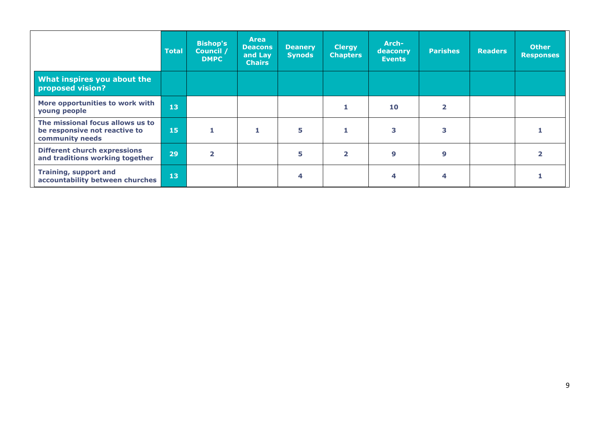|                                                                                      | <b>Total</b> | <b>Bishop's</b><br>Council /<br><b>DMPC</b> | <b>Area</b><br><b>Deacons</b><br>and Lay<br><b>Chairs</b> | <b>Deanery</b><br><b>Synods</b> | <b>Clergy</b><br><b>Chapters</b> | Arch-<br>deaconry<br><b>Events</b> | <b>Parishes</b> | <b>Readers</b> | <b>Other</b><br><b>Responses</b> |
|--------------------------------------------------------------------------------------|--------------|---------------------------------------------|-----------------------------------------------------------|---------------------------------|----------------------------------|------------------------------------|-----------------|----------------|----------------------------------|
| What inspires you about the<br>proposed vision?                                      |              |                                             |                                                           |                                 |                                  |                                    |                 |                |                                  |
| More opportunities to work with<br>young people                                      | 13           |                                             |                                                           |                                 |                                  | 10                                 | 2               |                |                                  |
| The missional focus allows us to<br>be responsive not reactive to<br>community needs | 15           |                                             |                                                           | 5                               |                                  | 3                                  | 3               |                |                                  |
| <b>Different church expressions</b><br>and traditions working together               | 29           | $\overline{\mathbf{z}}$                     |                                                           | 5                               | $\overline{2}$                   | 9                                  | 9               |                |                                  |
| <b>Training, support and</b><br>accountability between churches                      | 13           |                                             |                                                           | 4                               |                                  | 4                                  | 4               |                |                                  |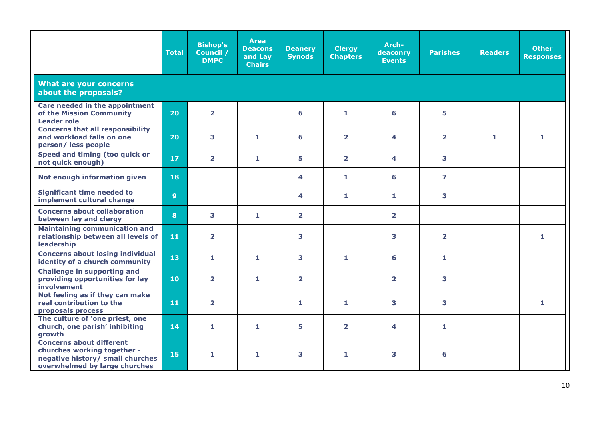|                                                                                                                                     | <b>Total</b>    | <b>Bishop's</b><br>Council /<br><b>DMPC</b> | <b>Area</b><br><b>Deacons</b><br>and Lay<br><b>Chairs</b> | <b>Deanery</b><br><b>Synods</b> | <b>Clergy</b><br><b>Chapters</b> | Arch-<br>deaconry<br><b>Events</b> | <b>Parishes</b>         | <b>Readers</b> | <b>Other</b><br><b>Responses</b> |
|-------------------------------------------------------------------------------------------------------------------------------------|-----------------|---------------------------------------------|-----------------------------------------------------------|---------------------------------|----------------------------------|------------------------------------|-------------------------|----------------|----------------------------------|
| <b>What are your concerns</b><br>about the proposals?                                                                               |                 |                                             |                                                           |                                 |                                  |                                    |                         |                |                                  |
| Care needed in the appointment<br>of the Mission Community<br><b>Leader role</b>                                                    | 20              | $\overline{\mathbf{2}}$                     |                                                           | 6                               | $\mathbf{1}$                     | 6                                  | 5                       |                |                                  |
| <b>Concerns that all responsibility</b><br>and workload falls on one<br>person/less people                                          | 20 <sub>2</sub> | 3                                           | $\mathbf{1}$                                              | 6                               | $\overline{2}$                   | 4                                  | $\overline{\mathbf{2}}$ | 1              | $\mathbf{1}$                     |
| Speed and timing (too quick or<br>not quick enough)                                                                                 | 17 <sup>2</sup> | $\overline{\mathbf{2}}$                     | 1                                                         | 5                               | $\overline{2}$                   | 4                                  | 3                       |                |                                  |
| Not enough information given                                                                                                        | 18              |                                             |                                                           | 4                               | $\mathbf{1}$                     | 6                                  | $\overline{ }$          |                |                                  |
| <b>Significant time needed to</b><br>implement cultural change                                                                      | 9 <sup>°</sup>  |                                             |                                                           | 4                               | 1                                | 1                                  | 3                       |                |                                  |
| <b>Concerns about collaboration</b><br>between lay and clergy                                                                       | 8               | 3                                           | $\mathbf{1}$                                              | $\overline{\mathbf{2}}$         |                                  | $\overline{\mathbf{2}}$            |                         |                |                                  |
| <b>Maintaining communication and</b><br>relationship between all levels of<br>leadership                                            | 11              | $\overline{\mathbf{2}}$                     |                                                           | 3                               |                                  | 3                                  | $\overline{\mathbf{2}}$ |                | 1.                               |
| <b>Concerns about losing individual</b><br>identity of a church community                                                           | 13              | 1                                           | $\mathbf{1}$                                              | 3                               | 1                                | 6                                  | $\mathbf{1}$            |                |                                  |
| <b>Challenge in supporting and</b><br>providing opportunities for lay<br>involvement                                                | 10              | $\overline{\mathbf{2}}$                     | 1                                                         | $\overline{\mathbf{2}}$         |                                  | $\overline{\mathbf{2}}$            | 3                       |                |                                  |
| Not feeling as if they can make<br>real contribution to the<br>proposals process                                                    | 11              | $\overline{\mathbf{2}}$                     |                                                           | $\mathbf{1}$                    | $\mathbf{1}$                     | 3                                  | 3                       |                | $\mathbf{1}$                     |
| The culture of 'one priest, one<br>church, one parish' inhibiting<br>growth                                                         | 14              | 1                                           | 1                                                         | 5                               | $\overline{2}$                   | 4                                  | $\mathbf{1}$            |                |                                  |
| <b>Concerns about different</b><br>churches working together -<br>negative history/ small churches<br>overwhelmed by large churches | 15              | 1.                                          | 1                                                         | 3                               | 1                                | 3                                  | 6                       |                |                                  |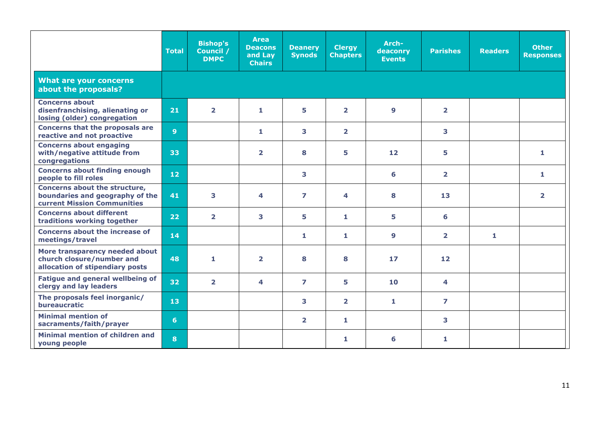|                                                                                                        | <b>Total</b>    | <b>Bishop's</b><br>Council /<br><b>DMPC</b> | <b>Area</b><br><b>Deacons</b><br>and Lay<br><b>Chairs</b> | <b>Deanery</b><br><b>Synods</b> | <b>Clergy</b><br><b>Chapters</b> | Arch-<br>deaconry<br><b>Events</b> | <b>Parishes</b> | <b>Readers</b> | <b>Other</b><br><b>Responses</b> |
|--------------------------------------------------------------------------------------------------------|-----------------|---------------------------------------------|-----------------------------------------------------------|---------------------------------|----------------------------------|------------------------------------|-----------------|----------------|----------------------------------|
| <b>What are your concerns</b><br>about the proposals?                                                  |                 |                                             |                                                           |                                 |                                  |                                    |                 |                |                                  |
| <b>Concerns about</b><br>disenfranchising, alienating or<br>losing (older) congregation                | 21              | $\overline{2}$                              | $\mathbf{1}$                                              | 5                               | $\overline{2}$                   | $\boldsymbol{9}$                   | $\overline{2}$  |                |                                  |
| <b>Concerns that the proposals are</b><br>reactive and not proactive                                   | 9 <sup>°</sup>  |                                             | $\mathbf{1}$                                              | 3                               | $\overline{\mathbf{2}}$          |                                    | 3               |                |                                  |
| <b>Concerns about engaging</b><br>with/negative attitude from<br>congregations                         | 33              |                                             | $\overline{\mathbf{2}}$                                   | 8                               | 5                                | 12                                 | 5               |                | 1                                |
| <b>Concerns about finding enough</b><br>people to fill roles                                           | 12 <sub>2</sub> |                                             |                                                           | 3                               |                                  | 6                                  | $\overline{2}$  |                | $\mathbf{1}$                     |
| Concerns about the structure,<br>boundaries and geography of the<br><b>current Mission Communities</b> | 41              | 3                                           | 4                                                         | 7                               | 4                                | 8                                  | 13              |                | $\overline{\mathbf{2}}$          |
| <b>Concerns about different</b><br>traditions working together                                         | 22              | $\overline{\mathbf{2}}$                     | 3                                                         | 5                               | 1                                | 5                                  | 6               |                |                                  |
| Concerns about the increase of<br>meetings/travel                                                      | 14              |                                             |                                                           | 1                               | $\mathbf{1}$                     | 9                                  | $\overline{2}$  | 1              |                                  |
| More transparency needed about<br>church closure/number and<br>allocation of stipendiary posts         | 48              | $\mathbf{1}$                                | $\overline{\mathbf{2}}$                                   | 8                               | 8                                | 17                                 | $12$            |                |                                  |
| <b>Fatigue and general wellbeing of</b><br>clergy and lay leaders                                      | 32 <sub>2</sub> | $\overline{\mathbf{2}}$                     | 4                                                         | $\overline{ }$                  | 5                                | 10                                 | 4               |                |                                  |
| The proposals feel inorganic/<br>bureaucratic                                                          | 13 <sub>1</sub> |                                             |                                                           | 3                               | $\overline{\mathbf{2}}$          | 1                                  | $\overline{z}$  |                |                                  |
| <b>Minimal mention of</b><br>sacraments/faith/prayer                                                   | 6               |                                             |                                                           | $\overline{2}$                  | $\mathbf{1}$                     |                                    | 3               |                |                                  |
| Minimal mention of children and<br>young people                                                        | 8               |                                             |                                                           |                                 | 1                                | 6                                  | 1.              |                |                                  |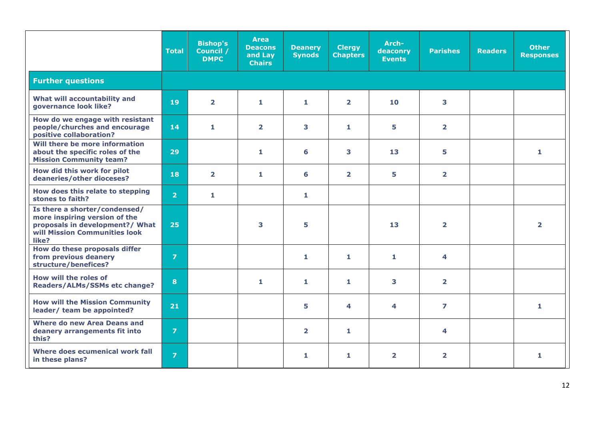|                                                                                                                                             | <b>Total</b>   | <b>Bishop's</b><br>Council /<br><b>DMPC</b> | <b>Area</b><br><b>Deacons</b><br>and Lay<br><b>Chairs</b> | <b>Deanery</b><br><b>Synods</b> | <b>Clergy</b><br><b>Chapters</b> | Arch-<br>deaconry<br><b>Events</b> | <b>Parishes</b>         | <b>Readers</b> | <b>Other</b><br><b>Responses</b> |
|---------------------------------------------------------------------------------------------------------------------------------------------|----------------|---------------------------------------------|-----------------------------------------------------------|---------------------------------|----------------------------------|------------------------------------|-------------------------|----------------|----------------------------------|
| <b>Further questions</b>                                                                                                                    |                |                                             |                                                           |                                 |                                  |                                    |                         |                |                                  |
| What will accountability and<br>governance look like?                                                                                       | 19             | $\overline{2}$                              | 1                                                         | $\mathbf{1}$                    | $\overline{2}$                   | 10                                 | 3                       |                |                                  |
| How do we engage with resistant<br>people/churches and encourage<br>positive collaboration?                                                 | 14             | 1                                           | $\overline{\mathbf{2}}$                                   | 3                               | $\mathbf{1}$                     | 5                                  | $\overline{2}$          |                |                                  |
| Will there be more information<br>about the specific roles of the<br><b>Mission Community team?</b>                                         | 29             |                                             | 1                                                         | 6                               | 3                                | 13                                 | 5.                      |                | $\mathbf{1}$                     |
| How did this work for pilot<br>deaneries/other dioceses?                                                                                    | 18             | $\overline{\mathbf{2}}$                     | 1                                                         | 6                               | $\overline{\mathbf{2}}$          | 5                                  | $\overline{2}$          |                |                                  |
| How does this relate to stepping<br>stones to faith?                                                                                        | $\overline{2}$ | 1                                           |                                                           | 1                               |                                  |                                    |                         |                |                                  |
| Is there a shorter/condensed/<br>more inspiring version of the<br>proposals in development?/ What<br>will Mission Communities look<br>like? | 25             |                                             | 3                                                         | 5                               |                                  | 13                                 | $\overline{\mathbf{2}}$ |                | $\overline{2}$                   |
| How do these proposals differ<br>from previous deanery<br>structure/benefices?                                                              | $\overline{z}$ |                                             |                                                           | 1                               | 1                                | $\mathbf{1}$                       | 4                       |                |                                  |
| How will the roles of<br>Readers/ALMs/SSMs etc change?                                                                                      | 8              |                                             | 1                                                         | 1                               | 1                                | 3                                  | $\overline{\mathbf{2}}$ |                |                                  |
| <b>How will the Mission Community</b><br>leader/ team be appointed?                                                                         | 21             |                                             |                                                           | 5                               | 4                                | 4                                  | $\overline{7}$          |                | 1.                               |
| <b>Where do new Area Deans and</b><br>deanery arrangements fit into<br>this?                                                                | $\overline{7}$ |                                             |                                                           | $\overline{2}$                  | $\mathbf{1}$                     |                                    | 4                       |                |                                  |
| Where does ecumenical work fall<br>in these plans?                                                                                          | $\overline{7}$ |                                             |                                                           | 1                               | 1                                | $\overline{2}$                     | $\overline{2}$          |                | 1                                |